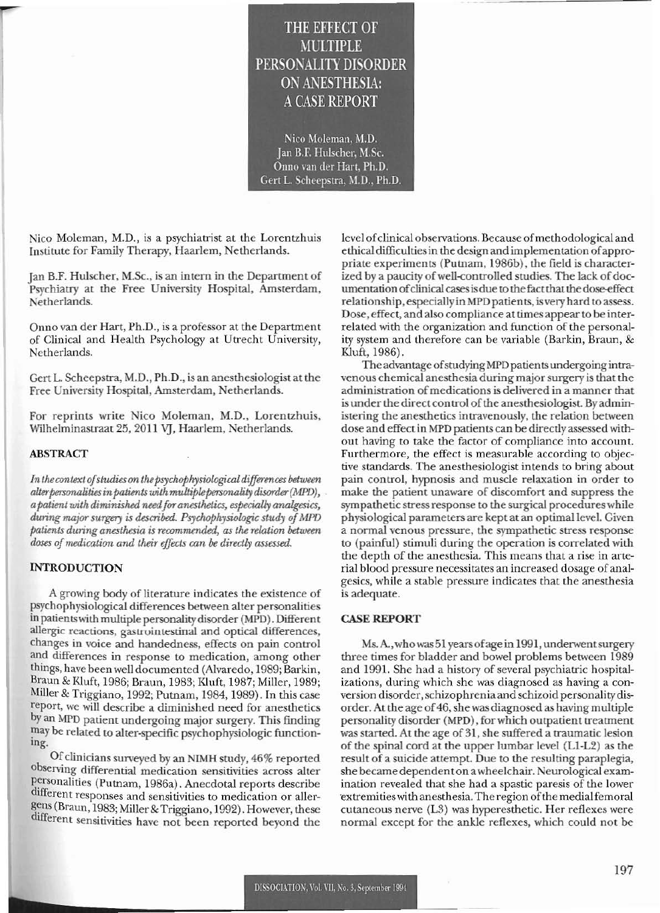# **THE EFFECT OF** MUMIPLE PERSONALITY DISORDER **ON ANESTHESIA: A CASE REPORT**

Nico Moleman, M.D. Jan B.F. Hulscher, M.Sc. Onno van der Hart, Ph.D. Gert L. Scheepstra, M.D., Ph.D.

Nico Moleman, M.D., is a psychiatrist at the Lorentzhuis Institute for Family Therapy, Haarlem, Netherlands.

Jan B.F. Hulscher, M.Sc., is an intern in the Department of Psychiatry at the Free University Hospital, Amsterdam, Netherlands.

Onno van der Hart, Ph.D., is a professor at the Department of Clinical and Health Psychology at Utrecht University, Netherlands.

Gert L. Scheepstra, M.D., Ph.D., is an anesthesiologist at the Free University Hospital, Amsterdam, Netherlands.

For reprints write Nico Moleman, M.D., Lorentzhuis, Wilhelminastraat 25, 2011 VJ, Haarlem, Netherlands.

### **ABSTRACT**

In the context of studies on the psychophysiological differences between alter personalities in patients with multiple personality disorder (MPD), a patient with diminished need for anesthetics, especially analgesics, during major surgery is described. Psychophysiologic study of MPD patients during anesthesia is recommended, as the relation between doses of medication and their effects can be directly assessed.

## **INTRODUCTION**

A growing body of literature indicates the existence of psychophysiological differences between alter personalities in patients with multiple personality disorder (MPD). Different allergic reactions, gastrointestinal and optical differences, changes in voice and handedness, effects on pain control and differences in response to medication, among other things, have been well documented (Alvaredo, 1989; Barkin, Braun & Kluft, 1986; Braun, 1983; Kluft, 1987; Miller, 1989; Miller & Triggiano, 1992; Putnam, 1984, 1989). In this case report, we will describe a diminished need for anesthetics by an MPD patient undergoing major surgery. This finding may be related to alter-specific psychophysiologic functioning

Of clinicians surveyed by an NIMH study, 46% reported observing differential medication sensitivities across alter personalities (Putnam, 1986a). Anecdotal reports describe different responses and sensitivities to medication or allergens (Braun, 1983; Miller & Triggiano, 1992). However, these different sensitivities have not been reported beyond the level of clinical observations. Because of methodological and ethical difficulties in the design and implementation of appropriate experiments (Putnam, 1986b), the field is characterized by a paucity of well-controlled studies. The lack of documentation of clinical cases is due to the fact that the dose-effect relationship, especially in MPD patients, is very hard to assess. Dose, effect, and also compliance at times appear to be interrelated with the organization and function of the personality system and therefore can be variable (Barkin, Braun, & Kluft, 1986).

The advantage of studying MPD patients undergoing intravenous chemical anesthesia during major surgery is that the administration of medications is delivered in a manner that is under the direct control of the anesthesiologist. By administering the anesthetics intravenously, the relation between dose and effect in MPD patients can be directly assessed without having to take the factor of compliance into account. Furthermore, the effect is measurable according to objective standards. The anesthesiologist intends to bring about pain control, hypnosis and muscle relaxation in order to make the patient unaware of discomfort and suppress the sympathetic stress response to the surgical procedures while physiological parameters are kept at an optimal level. Given a normal venous pressure, the sympathetic stress response to (painful) stimuli during the operation is correlated with the depth of the anesthesia. This means that a rise in arterial blood pressure necessitates an increased dosage of analgesics, while a stable pressure indicates that the anesthesia is adequate.

### **CASE REPORT**

Ms. A., who was 51 years of age in 1991, underwent surgery three times for bladder and bowel problems between 1989 and 1991. She had a history of several psychiatric hospitalizations, during which she was diagnosed as having a conversion disorder, schizophrenia and schizoid personality disorder. At the age of 46, she was diagnosed as having multiple personality disorder (MPD), for which outpatient treatment was started. At the age of 31, she suffered a traumatic lesion of the spinal cord at the upper lumbar level (L1-L2) as the result of a suicide attempt. Due to the resulting paraplegia, she became dependent on a wheelchair. Neurological examination revealed that she had a spastic paresis of the lower extremities with anesthesia. The region of the medial femoral cutaneous nerve (L3) was hyperesthetic. Her reflexes were normal except for the ankle reflexes, which could not be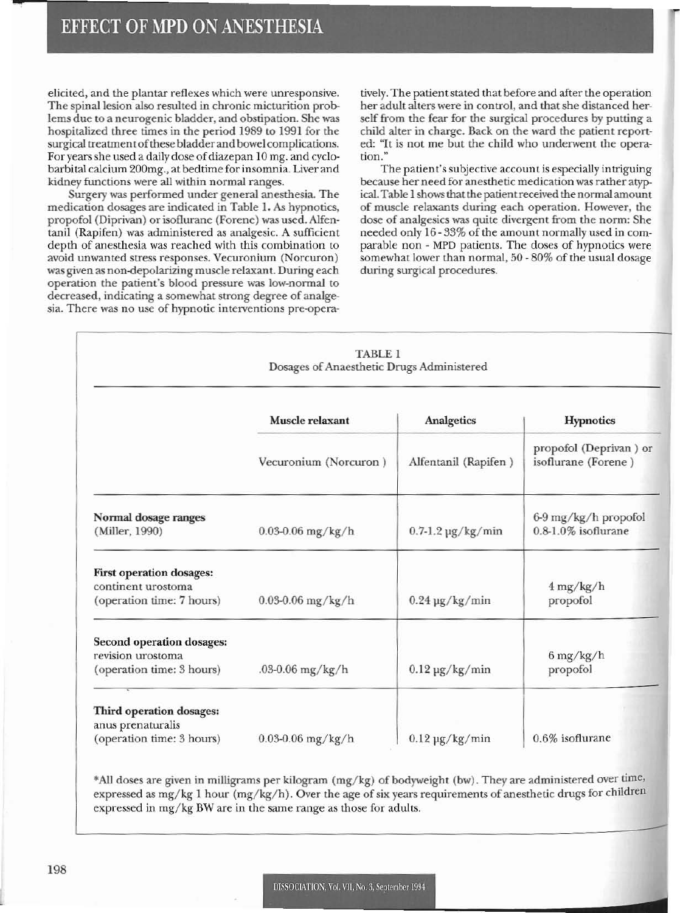elicited, and the plantar reflexes which were unresponsive. The spinal lesion also resulted in chronic micturition problems due to a neurogenic bladder, and obstipation. She was hospitalized three times in the period 1989 to 1991 for the surgical treatmentofthese bladder and bowel complications. For years she used a daily dose of diazepan 10 mg. and cyclobarbital calcium 200mg., at bedtime for insomnia. Liver and kidney functions were all within normal ranges.

Surgery was performed under general anesthesia. The medication dosages arc indicated in Table I. As hypnotics, propofol (Diprivan) or isoflurane (Forene) was used. Alfentanil (Rapifen) was administered as analgesic. A sufficient depth of anesthesia was reached with this combination to avoid unwanted stress responses. Vecuronium (Norcuron) was given as non-depolarizing muscle relaxant. During each operation the patient's blood pressure was low-nonnal to decreased, indicating a somewhat strong degree of analgesia. There was no use of hypnotic interventions pre-opera-

tively. The patient stated that before and after the operation her adult alters were in control, and that she distanced herself from the fear for the surgical procedures by putting a child alter in charge. Back on the ward the patient reported: "It is not me but the child who underwent the operation."

The patient's subjective account is especially intriguing because her need for anesthetic medication was rather atypical. Table 1 shows that the patient received the normal amount of muscle relaxants during each operation. However, the dose of analgesics was quite divergent from the norm: She needed only 16 - 33% of the amount normally used in comparable non - MPD patients. The doses of hypnotics were somewhat lower than normal, 50 - 80% of the usual dosage during surgical procedures.

|                                                                                    | TABLE 1<br>Dosages of Anaesthetic Drugs Administered |                                  |                                                      |  |
|------------------------------------------------------------------------------------|------------------------------------------------------|----------------------------------|------------------------------------------------------|--|
|                                                                                    | Muscle relaxant                                      | <b>Analgetics</b>                | <b>Hypnotics</b>                                     |  |
|                                                                                    | Vecuronium (Norcuron)                                | Alfentanil (Rapifen)             | propofol (Deprivan) or<br>isoflurane (Forene)        |  |
| Normal dosage ranges<br>(Miller, 1990)                                             | $0.03 - 0.06$ mg/kg/h                                | $0.7-1.2$ µg/kg/min              | 6-9 mg/kg/h propofol<br>$0.8-1.0\%$ isoflurane       |  |
| <b>First operation dosages:</b><br>continent urostoma<br>(operation time: 7 hours) | $0.03 - 0.06$ mg/kg/h                                | $0.24 \text{ µg/kg/min}$         | $4 \frac{mg}{kg/h}$<br>propofol                      |  |
| <b>Second operation dosages:</b><br>revision urostoma<br>(operation time: 3 hours) | .03-0.06 $mg/kg/h$                                   | $0.12 \text{ \textmu g/kg/min}$  | $6 \frac{\text{mg}}{\text{kg}/\text{h}}$<br>propofol |  |
| Third operation dosages:<br>anus prenaturalis<br>(operation time: 3 hours)         | $0.03 - 0.06$ mg/kg/h                                | $0.12 \,\mathrm{\upmu g/kg/min}$ | 0.6% isoflurane                                      |  |

\*AlI doses are given in milligrams per kilogram (mg/kg) of bodyweight (bw). They are administered over time, expressed as mg/kg 1 hour (mg/kg/h). Over the age of six years requirements of anesthetic drugs for children expressed in mg/kg BW are in the same range as those for adults.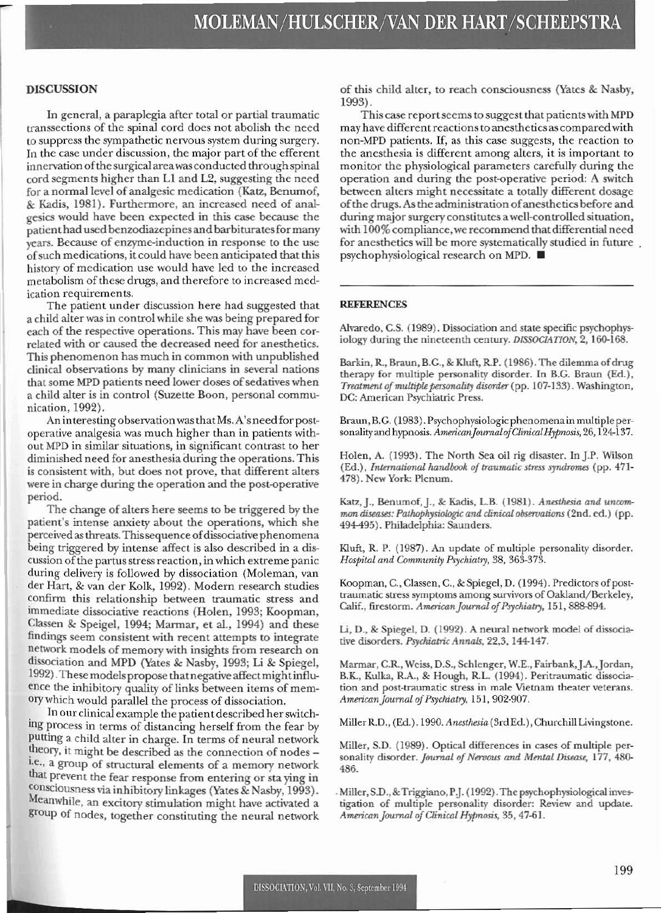#### DISCUSSION

In general, a paraplegia after total or partial traumatic transsections of the spinal cord does not abolish the need to suppress the sympathetic nervous system during surgery. In the case under discussion, the major part of the efferent innervation of the surgical area was conducted through spinal cord segments higher than L1 and L2, suggesting the need for a normal level of analgesic medication (Katz, Benumof, & Kadis, 1981). Furthermore, an increased need of analgesics would have been expected in this case because the patienthad used benzodiazepines and barbituratesformany years. Because of enzyme-induction in response to the use ofsuch medications. it could have been anticipated that this history of medication use would have led to the increased metabolism of these drugs, and therefore to increased medication requirements.

The patient under discussion here had suggested that a child aIterwas in control while she was being prepared for each of the respective operations. This may have been cor· related with or caused the decreased need for anesthetics. This phenomenon has much in common with unpublished clinical observations by many clinicians in several nations that some MPD patients need lower doses of sedatives when a child alter is in control (Suzette Boon, personal communication, 1992).

An interesting observation was that Ms. A's need for postoperative analgesia was much higher than in patients without MPD in similar situations, in significant contrast to her diminished need for anesthesia during the operations. This is consistent with, but does not prove, that different alters were in charge during the operation and the post-operative period.

The change of alters here seems to be triggered by the patient's intense anxiety about the operations, which she perceived as threats. This sequence of dissociative phenomena being triggered by intense affect is also described in a discussion of the partus stress reaction, in which extreme panic during delivery is followed by dissociation (Moleman, van cler Hart, & van der Kolk, 1992). Modern research studies confirm this relationship between traumatic stress and immediate dissociative reactions (Holen, 1993; Koopman, Classen & Speigel, 1994; Marmar, et al., 1994) and these findings seem consistent with recent attempts to integrate network models of memory with insights from research on dissociation and MPD (Yates & Nasby, 1993; Li & Spiegel, 1992).These models propose thatnegativeaffcctmightinfluence the inhibitory quality of links between items of mem*ory* which would parallel the process of dissociation.

. In our clinical example the patientdescribed herswitch· ing process in terms of distancing herself from the fear by putting a child alter in charge. In terms of neural network theory, it might be described as the connection of nodes -I.e., a group of structural elements of a memory network that prevent the fear response from entering or sta ying in consciousness via inhibitory linkages (Yates & Nasby, 1993). MeanWhile, an excitory stimulation might have activated a group of nodes, together constituting the neural network of this child alter, to reach consciousness (Yates & Nasby, 1993).

This case report seems to suggest that patients with MPD may have different reactions to anesthetics as compared with non-MPD patients. If, as this case suggests, the reaction to the anesthesia is different among alters, it is important to monitor the physiological parameters carefully during the operation and during the post-operative period: A switch between alters might necessitate a totally different dosage of the drugs. As the administration of anesthetics before and during major surgery constitutes a well-controlled situation, with 100% compliance,we recommend thatdifferential need for anesthetics will be more systematically studied in future psychophysiological research on MPD.•

#### REFERENCES

Alvaredo, C.S. (1989). Dissociation and state specific psychophysiology during the nineteenth century. DISSOCIATION, 2, 160-168.

Barkin, R., Braun, B.G., & Kluft, R.P. (1986). The dilemma of drug therapy for multiple personality disorder. In B.C. Braun (Ed.), *Treatment of multiple personality disorder* (pp. 107-133). Washington, DC: American Psychiatric Press.

Braun, B.G. (1983). Psychophysiologic phcnomenain multiple personalityand hypnosis. *AmericanJoumalofCiinicalHypnosis,* 26, 124·137.

Holen, A. (1993). The North Sea oil rig disaster. In].P. Wilson (Ed.), *International handbook of traumatic stress syndromes* (pp. 471-478). New York; Plenum.

Katz, J., Benumof, J., & Kadis, L.B. (1981). *Anesthesia and uncommon diseases: Pathophysiologic and clinical observations* (2nd. ed.) (pp. 494495). Philadelphia: Saunders.

Klufl, R. P. (1987). An update of multiple personality disorder. *Hospital and Community Psychiatry,* 38, 363-373.

Koopman, C., Classen, C., & Spiegel, D. (1994). Predictors of posttraumatic stress symptoms among survivors of Oakland/Berkeley, Calif., firestorm. *American Journal of Psychiatry*, 151, 888-894.

Li, D., & Spiegel, D. (1992). A neural network model of dissociative disorders. Psychiatric Annals, 22,3, 144-147.

Marmar, c.R., Weiss, D.S., Schlenger, W.E., Fairbank,J.A.,Jordan, BX, Kulka, RA, & Hough, R.L. (1994). Peritraumatic dissociation and post-traumatic stress in male Vietnam theater veterans. *AmericanJournaloJPrychiatry,* 151,902-907.

Miller R.O., (Ed.). 1990. *Anesthesia* (3rd Ed.), Churchill Livingstone.

Miller, S.D. (1989). Optical differences in cases of multiple personality disorder. *Journal of Nervous and Mental Disease*, 177, 480-486.

. Miller, S.D., & Triggiano, P.J. (1992). The psychophysiological investigation of multiple personality disorder: Review and update. *AmmcanJoumal ofClirncalHypnosis.* 35, 47-61.